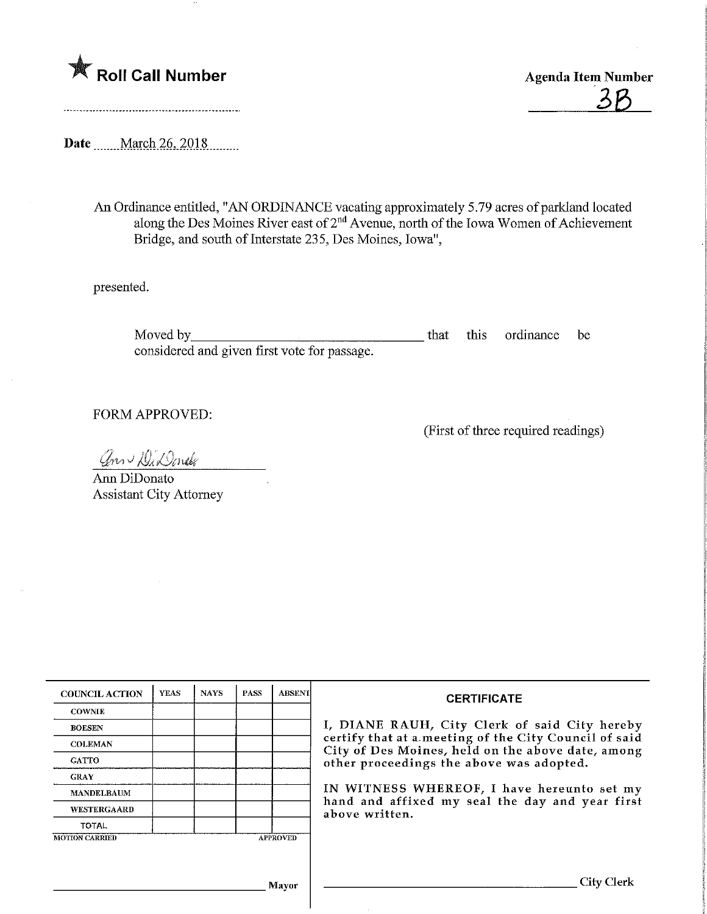

36

Date ........ March 26, 2018

An Ordinance entitled, "AN ORDINANCE vacating approximately 5.79 acres of parkland located along the Des Moines River east of  $2<sup>nd</sup>$  Avenue, north of the Iowa Women of Achievement Bridge, and south of Interstate 235, Des Moines, Iowa",

presented.

Moved by that this ordinance be considered and given first vote for passage.

FORM APPROVED:

(First of three required readings)

ann Di Donde

Arm DiDonato Assistant City Attorney

| <b>COUNCIL ACTION</b> | <b>YEAS</b> | <b>NAYS</b> | <b>PASS</b> | ABSENT          | <b>CERTIFICATE</b>                                                                                                                                                                                      |  |  |
|-----------------------|-------------|-------------|-------------|-----------------|---------------------------------------------------------------------------------------------------------------------------------------------------------------------------------------------------------|--|--|
| <b>COWNIE</b>         |             |             |             |                 |                                                                                                                                                                                                         |  |  |
| <b>BOESEN</b>         |             |             |             |                 | I, DIANE RAUH, City Clerk of said City hereby<br>certify that at a meeting of the City Council of said<br>City of Des Moines, held on the above date, among<br>other proceedings the above was adopted. |  |  |
| <b>COLEMAN</b>        |             |             |             |                 |                                                                                                                                                                                                         |  |  |
| <b>GATTO</b>          |             |             |             |                 |                                                                                                                                                                                                         |  |  |
| <b>GRAY</b>           |             |             |             |                 |                                                                                                                                                                                                         |  |  |
| <b>MANDELBAUM</b>     |             |             |             |                 | IN WITNESS WHEREOF, I have hereunto set my<br>hand and affixed my seal the day and year first<br>above written.                                                                                         |  |  |
| <b>WESTERGAARD</b>    |             |             |             |                 |                                                                                                                                                                                                         |  |  |
| <b>TOTAL</b>          |             |             |             |                 |                                                                                                                                                                                                         |  |  |
| <b>MOTION CARRIED</b> |             |             |             | <b>APPROVED</b> |                                                                                                                                                                                                         |  |  |
|                       |             |             |             |                 |                                                                                                                                                                                                         |  |  |
| Mayor                 |             |             |             |                 | City Clerk                                                                                                                                                                                              |  |  |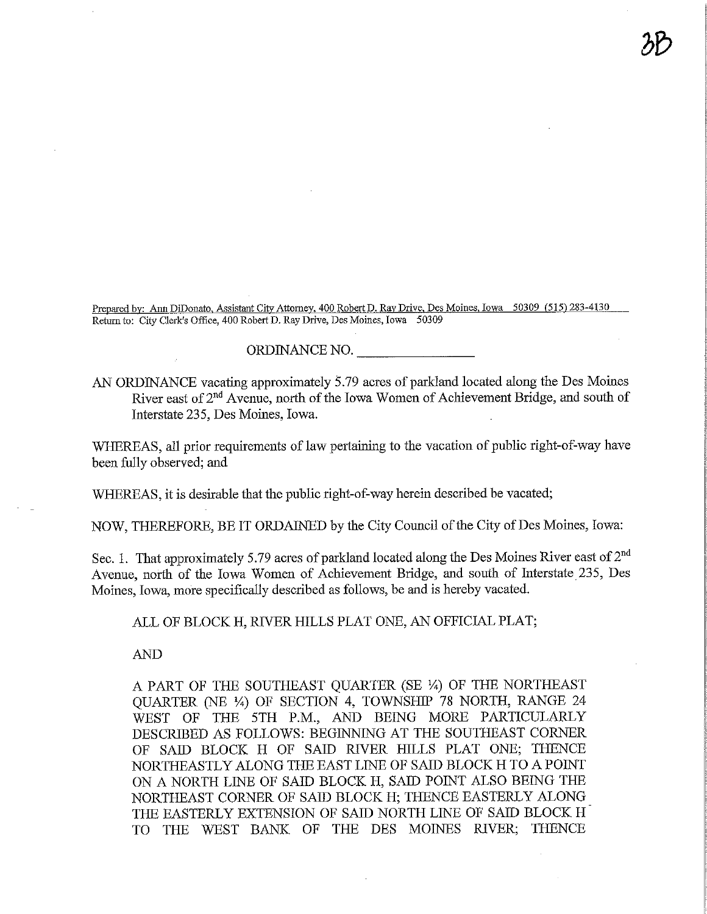Prepared by: Ann DiDonato, Assistant City Attorney, 400 Robert D. Ray Drive, Des Moines, Iowa 50309 (515) 283-4130 Retom to: City Clerk's Office, 400 Robert D. Ray Drive, Des Moines, Iowa 50309

3&

ORDINANCE NO.

AN ORDINANCE vacating approximately 5.79 acres of parkland located along the Des Moines River east of 2<sup>nd</sup> Avenue, north of the Iowa Women of Achievement Bridge, and south of Interstate 235, Des Moines, Iowa.

WHEREAS, all prior requirements of law pertaining to the vacation of public right-of-way have been fully observed; and

WHEREAS, it is desirable that the public right-of-way herein described be vacated;

NOW, THEREFORE, BE IT ORDAINED by the City Council of the City of Des Moines, Iowa:

Sec. 1. That approximately 5.79 acres of parkland located along the Des Moines River east of  $2<sup>nd</sup>$ Avenue, north of the Iowa Women of Achievement Bridge, and south of Interstate 235, Des Moines, Iowa, more specifically described as follows, be and is hereby vacated.

ALL OF BLOCK H, RIVER HILLS PLAT ONE, AN OFFICIAL PLAT;

AND

A PART OF THE SOUTHEAST QUARTER (SE 1/4) OF THE NORTHEAST QUARTER (NE %) OF SECTION 4, TOWNSHEP 78 NORTH, RANGE 24 WEST OF THE 5TH P.M., AND BEING MORE PARTICULARLY DESCRIBED AS FOLLOWS: BEGINNING AT THE SOUTHEAST CORNER OF SAID BLOCK H OF SAID RTVER HILLS PLAT ONE; THENCE NORTHEASTLY ALONG THE EAST LINE OF SAID BLOCK H TO A POINT ON A NORTH LINE OF SAID BLOCK H, SAID POINT ALSO BEING THE NORTHEAST CORNER OF SAID BLOCK H; THENCE EASTERLY ALONG THE EASTERLY EXTENSION OF SAID NORTH LINE OF SAID BLOCK H TO THE WEST BANK OF THE DES MOINES RJVER; THENCE